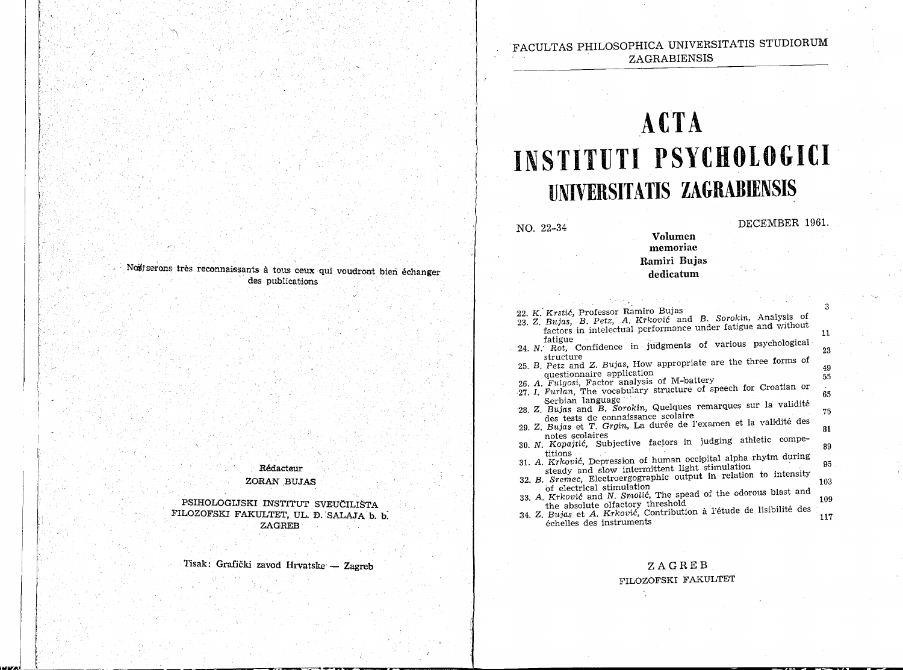## FACULTAS PHILOSOPHICA UNIVERSITATIS STUDIORUM ZAGRABIENSIS

# **ACTA INSTITUTI PSYCHOLOGICI UNIVERSITATIS ZAGRABIENSIS**

NO. 22-34

f ----"-------- ------- ------~~~~-------~------~------------------------~~~~~~

DECEMBER 1961.

## memoriae Ramiri Bujas dedicatum

Volumen

- 
- 22. K. Krstić, Professor Ramiro Bujas<br>23. Z. Bujas, B. Petz, A. Krković and B. Sorokin, Analysis of factors in intelectual performance under fatigue and without factors in intelectual performance different statigue  $\frac{11}{24}$ . N: Rot, Confidence in judgments of various psychological  $\frac{1}{22}$ .
- structure<br>25. B. Petz and Z. Bujas, How appropriate are the three forms of
- Petz and Z. Bujas, How application  $\frac{49}{55}$
- 26. A. Fulgosi, Factor analysis of M-battery
- 27. I, Furlan, The vocabulary structure of speech for Croatian or Serbian language Serbian language<br>28 Z. Bujas and B. Sorokin, Quelques remarques sur la validité
- des tests de connaissance scolaire<br>29. Z. Bujas et T. Grgin, La durée de l'examen et la validité des
- notes scolaires<br>30. N. Kopajtić, Subjective factors in judging athletic compe-
- titions<br>31. A. Krković, Depression of human occipital alpha rhytm during
- steady and !Slow intermittent lighrt stimulation · . 95
- 32. B. Sremec, Electroergographic output in relation to intensity
- $\frac{103}{103}$  of electrical stimulation 33 A. Krković and N. Smolić, The spead of the odorous blast and  $\frac{103}{100}$
- 35. The absolute olfactory threshold<br>34. Z. Bujas et A. Krković, Contribution à l'étude de lisibilité des Bujas et A. Krkovic, Contribution a Tetale de Estatente (117)

### ZAGREB

#### FILOZOFSKI FAKULTET

Not serons très reconnaissants à tous ceux qui voudront bien échanger des publications

> Redacteur ZORAN BUJAS

PSIHOLOGIJSKI INSTITUT SVEUCILIŠTA FILOZOFSKI FAKULTET, UL. D. SALAJA b. b. **ZAGREB** 

Tisak: Grafički zavod Hrvatske - Zagreb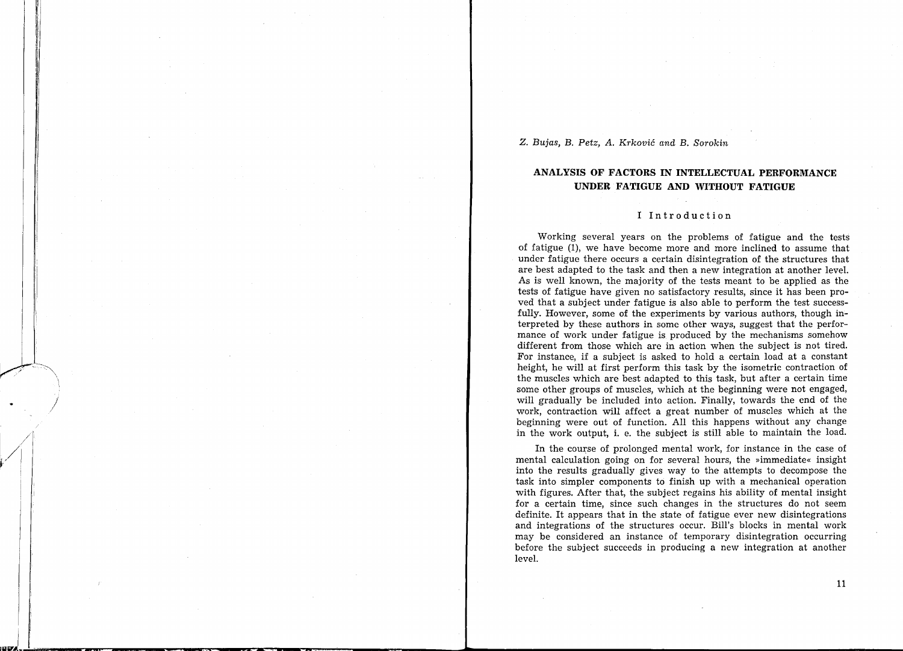Z. *Bujas,* B. *Petz, A.* Krković *and* B. *Sorokin* 

## **ANALYSIS OF FACTORS IN INTELLECTUAL PERFORMANCE UNDER FATIGUE AND WITHOUT FATIGUE**

#### I Introduction

Working several years on the problems of fatigue and the tests of fatigue (1), we have become more and more inclined to assume that under fatigue there occurs a certain disintegration of the structures that are best adapted to the task and then a new integration at another level. As is well known, the majority of the tests meant to be applied as the tests of fatigue have given no satisfactory results, since it has been proved that a subject under fatigue is also able to perform the test successfully. However, some of the experiments by various authors, though interpreted by these authors in some other ways, suggest that the performance of work under fatigue is produced by the mechanisms somehow different from those which are in action when the subject is not tired. For instance, if a subject is asked to hold a certain load at a constant height, he will at first perform this task by the isometric contraction of the muscles which are best adapted to this task, but after a certain time some other groups of muscles, which at the beginning were not engaged, will gradually be included into action. Finally, towards the end of the work, contraction will affect a great number of muscles which at the beginning were out of function. All this happens without any change in the work output, i. e. the subject is still able to maintain the load.

In the course of prolonged mental work, for instance in the case of mental calculation going on for several hours, the »immediate« insight into the results gradually gives way to the attempts to decompose the task into simpler components to finish up with a mechanical operation with figures. After that, the subject regains his ability of mental insight for a certain time, since such changes in the structures do not seem definite. It appears that in the state of fatigue ever new disintegrations and integrations of the structures occur. Bill's blocks in mental work may be considered an instance of temporary disintegration occurring before the subject succeeds in producing a new integration at another level.

ll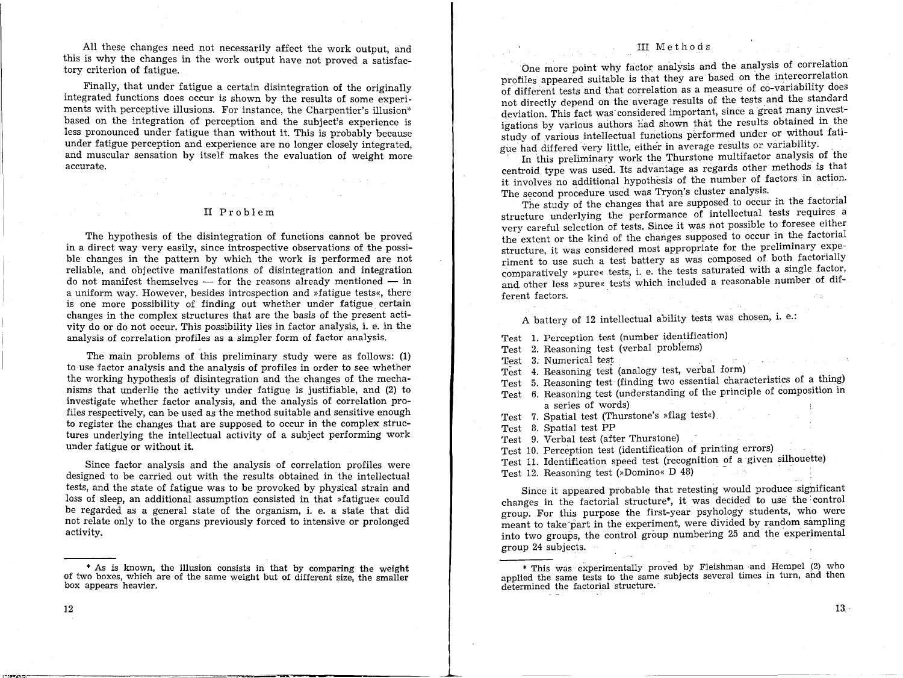All these changes need not necessarily affect the work output, and this is why the changes in the work output have not proved a satisfactory criterion of fatigue.

Finally, that under fatigue a certain disintegration of the originally integrated functions does occur is shown by the results of some experiments with perceptive illusions. For instance, the Charpentier's illusion\* based on the integration of perception and the subject's experience is less pronounced under fatigue than without it. This is probably because under fatigue perception and experience are no longer closely integrated, and muscular sensation by itself makes the evaluation of weight more accurate.

#### II Problem

 $\label{eq:2} \begin{split} \mathcal{L}_{\text{max}}(\mathbf{r}) = \mathcal{L}_{\text{max}}(\mathbf{r}) \mathcal{L}_{\text{max}}(\mathbf{r}) \mathcal{L}_{\text{max}}(\mathbf{r}) \mathcal{L}_{\text{max}}(\mathbf{r}) \mathcal{L}_{\text{max}}(\mathbf{r}) \mathcal{L}_{\text{max}}(\mathbf{r}) \mathcal{L}_{\text{max}}(\mathbf{r}) \mathcal{L}_{\text{max}}(\mathbf{r}) \mathcal{L}_{\text{max}}(\mathbf{r}) \mathcal{L}_{\text{max}}(\mathbf{r}) \mathcal{L}_{\text{max}}(\mathbf{r}) \mathcal$ 

The hypothesis of the disintegration of functions cannot be proved in a direct way very easily, since introspective observations of the possible changes in the pattern by which the work is performed are not reliable, and objective manifestations of disintegration and integration do not manifest themselves  $-$  for the reasons already mentioned  $-$  in a uniform way. However, besides introspection and »fatigue tests«, there is one more possibility of finding out whether under fatigue certain changes in the complex structures that are the basis of the present activity do or do not occur. This possibility lies in factor analysis, i. e. in the analysis of correlation profiles as a simpler form of factor analysis.

The main problems of this preliminary study were as follows: (l) to use factor analysis and the analysis of profiles in order to see whether the working hypothesis of disintegration and the changes of the mechanisms that underlie the activity under fatigue is justifiable, and (2) to investigate whether factor analysis, and the analysis of correlation profiles respectively, can be used as the method suitable and sensitive enough to register the changes that are supposed to occur in the complex structures underlying the intellectual activity of a subject performing work under fatigue or without it.

Since factor analysis and the analysis of correlation profiles were designed to be carried out with the results obtained in the intellectual tests, and the state of fatigue was to be provoked by physical strain and loss of sleep, an additional assumption consisted in that »fatigue« could be regarded as a general state of the organism, i. e. a state that did not relate only to the organs previously forced to intensive or prolonged activity.

\* As is known, the illusion consists in that by comparing the weight of two boxes, which are of the same weight but of different size, the smaller box appears heavier.

#### III M e t h o d s

One more point why factor analysis and the analysis of correlation profiles appeared suitable is that they are based on the intercorrelation of different tests and that correlation as a measure of co-variability does not directly depend on the average results of the tests and the standard deviation. This fact was considered important, since a great many investigations by various authors had shown that the results obtained in the study of various intellectual functions performed under or without fatigue had differed very little, either in average results or variability.

In this preliminary work the Thurstone multifactor analysis of the centroid type was used. Its advantage as regards other methods is that it involves no additional hypothesis of the number of factors in action. The second procedure used was Tryon's cluster analysis.

The study of the changes that are supposed to occur in the factorial structure underlying the performance of intellectual tests requires a very careful selection of tests. Since it was not possible to foresee either the extent or the kind of the changes supposed to occur in the factorial structure, it was considered most appropriate for the preliminary experiment to use such a test battery as was composed of both factorially comparatively »pure« tests, i. e. the tests saturated with a single factor, and other less »pure« tests which included a reasonable number of different factors.

A battery of 12 intellectual ability tests was chosen, i. e.:

Test l. Perception test (number identification)

Test 2. Reasoning test (verbal problems)

Test *3:* Numerical test . .

Test 4. Reasoning test (analogy test, verbal form) \_ .

Test 5. Reasoning test (finding two essential characteristics of a thing)

- Test 6. Reasoning test (understanding of the principle of composition in a series of words)
- Test 7. Spatial test (Thurstone's »flag test«)
- Test 8. Spatial test PP
- Test 9. Verbal test (after Thurstone)

Test 10. Perception test (identification of printing errors) .

Test 11. Identification speed test (recognition of a given silhouette)

Test 12. Reasoning test (»Domino<< D 48)

Since it appeared probable that retesting would produce significant changes in the factorial structure\*, it was decided to use the· control group. For this purpose the first-year psyhology students, who were meant to take part in the experiment, were divided by random sampling into two groups, the control group numbering 25 and the experimental Special County group 24 subjects.

\* This was experimentally proved by Fleishman and Hempel (2) who applied the same tests to the same subjects several times in turn, and then determined the factorial structure.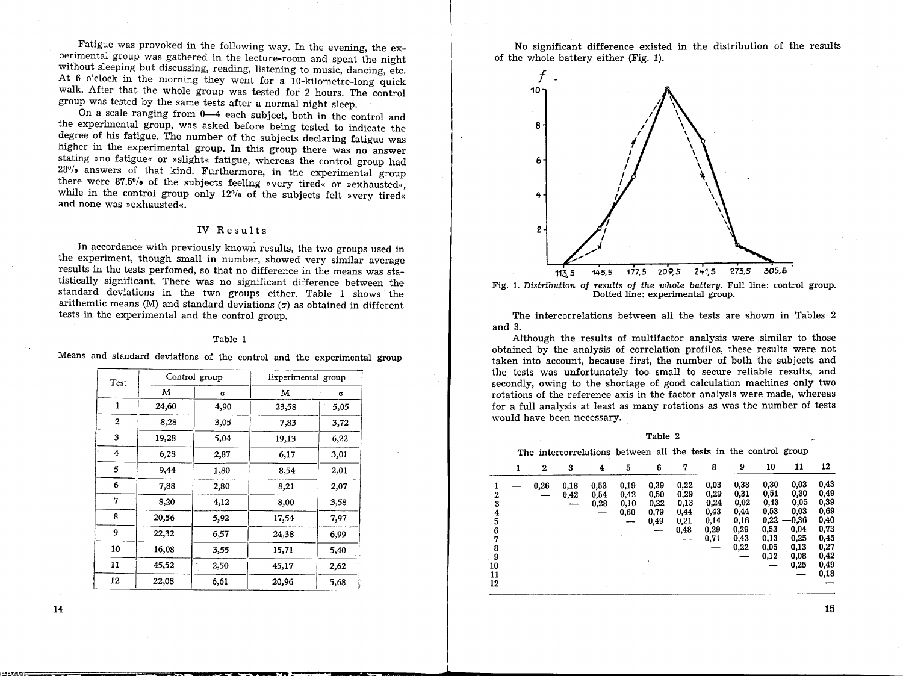Fatigue was provoked in the following way. In the evening, the experimental group was gathered in the lecture-room and spent the night without sleeping but discussing, reading, listening to music, dancing, etc. At  $6$  o'clock in the morning they went for a 10-kilometre-long quick walk. After that the whole group was tested for 2 hours. The control group was tested by the same tests after a normal night sleep.

On a scale ranging from 0-4 each subject, both in the control and the experimental group, was asked before being tested to indicate the degree of his fatigue. The number of the subjects declaring fatigue was higher in the experimental group. In this group there was no answer stating »no fatigue« or »slight« fatigue, whereas the control group had 28% answers of that kind. Furthermore, in the experimental group there were 87.5°/o of the subjects feeling »very tired« or »exhausted«, while in the control group only  $12\%$  of the subjects felt »very tired« and none was »exhausted«.

#### IV Results

In accordance with previously known results, the two groups used in the experiment, though small in number, showed very similar average results in the tests perfomed, so that no difference in the means was statistically significant. There was no significant difference between the standard deviations in the two groups either. Table l shows the arithemtic means (M) and standard deviations  $(\sigma)$  as obtained in different tests in the experimental and the control group.

#### Table l

Means and standard deviations of the control and the experimental group

| Test |       | Control group | Experimental group |      |  |  |
|------|-------|---------------|--------------------|------|--|--|
|      | м     | Q             | м                  | σ    |  |  |
| 1    | 24,60 | 4,90          | 23,58              | 5,05 |  |  |
| 2    | 8,28  | 3,05          | 7,83               | 3,72 |  |  |
| 3    | 19,28 | 5,04          | 19,13              | 6,22 |  |  |
| 4    | 6,28  | 2,87          | 6,17               | 3,01 |  |  |
| 5    | 9.44  | 1,80          | 8,54               | 2,01 |  |  |
| 6    | 7,88  | 2,80          | 8,21               | 2,07 |  |  |
| 7    | 8,20  | 4,12          | 8,00               | 3,58 |  |  |
| 8    | 20,56 | 5,92          | 17,54              | 7,97 |  |  |
| 9    | 22,32 | 6,57          | 24,38              | 6,99 |  |  |
| 10   | 16,08 | 3,55          | 15,71              | 5,40 |  |  |
| 11   | 45,52 | 2,50          | 45,17              | 2,62 |  |  |
| 12   | 22,08 | 6,61          | 20,96              | 5,68 |  |  |

No significant difference existed in the distribution of the results of the whole battery either (Fig. 1).



The intercorrelations between all the tests are shown in Tables 2 and 3.

Although the results of multifactor analysis were similar to those obtained by the analysis of correlation profiles, these results were not taken into account, because first, the number of both the subjects and the tests was unfortunately too small to secure reliable results, and secondly, owing to the shortage of good calculation machines only two rotations of the reference axis in the factor analysis were made, whereas for a full analysis at least as many rotations as was the number of tests would have been necessary.

| г<br>ante |
|-----------|
|-----------|

The intercorrelations between all the tests in the control group

|                            | 1 | $\bf{2}$ | 3            | 4                    | 5                            | 6                                    | 7                                            | 8                                                    | 9                                                    | 10                                                   | 11                                                    | 12                                                   |
|----------------------------|---|----------|--------------|----------------------|------------------------------|--------------------------------------|----------------------------------------------|------------------------------------------------------|------------------------------------------------------|------------------------------------------------------|-------------------------------------------------------|------------------------------------------------------|
| 2<br>3<br>4<br>5<br>6<br>7 |   | 0,26     | 0,18<br>0,42 | 0,53<br>0,54<br>0,28 | 0,19<br>0,42<br>0,10<br>0,60 | 0,39<br>0,50<br>0,22<br>0,79<br>0,49 | 0,22<br>0,29<br>0,13<br>0,44<br>0,21<br>0,48 | 0,03<br>0,29<br>0,24<br>0,43<br>0,14<br>0,29<br>0,71 | 0,38<br>0,31<br>0,02<br>0,44<br>0,16<br>0,29<br>0,43 | 0,30<br>0,51<br>0,43<br>0,53<br>0,22<br>0,53<br>0,13 | 0,03<br>0,30<br>0,05<br>0,03<br>-0,36<br>0,04<br>0,25 | 0,43<br>0,49<br>0,39<br>0,69<br>0,40<br>0,73<br>0,45 |
| 8<br>. 9<br>10<br>11<br>12 |   |          |              |                      |                              |                                      |                                              |                                                      | 0,22                                                 | 0,05<br>0,12                                         | 0,13<br>0,08<br>0,25                                  | 0,27<br>0,42<br>0,49<br>0,18                         |

**14** 

15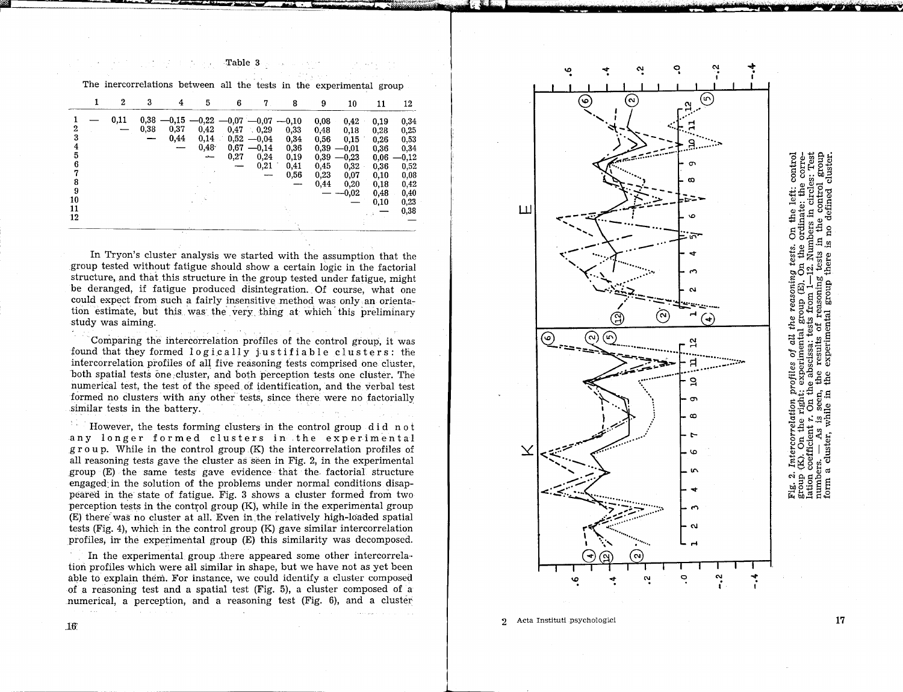#### Table 3

The inercorrelations between all the tests in the experimental group

|                                                        | $\mathbf{2}$ | 3            | 4                       | 5                               | 6                                                   | $\mathbf 7$                                     | 8                                            | 9                                                            | 10                                                                            | 11                                                                           | 12                                                                                      |
|--------------------------------------------------------|--------------|--------------|-------------------------|---------------------------------|-----------------------------------------------------|-------------------------------------------------|----------------------------------------------|--------------------------------------------------------------|-------------------------------------------------------------------------------|------------------------------------------------------------------------------|-----------------------------------------------------------------------------------------|
| $\mathbf{2}$<br>3<br>4<br>5<br>6<br>8<br>9<br>10<br>11 | 0,11         | 0,38<br>0,38 | $-0,15$<br>0,37<br>0,44 | $-0,22$<br>0,42<br>0,14<br>0,48 | $-0.07 -0.07 -0.10$<br>0,47<br>0,52<br>0,67<br>0,27 | 0,29<br>$-0.04$<br>$-0.14$<br>0,24<br>0,21<br>- | 0,33<br>0,34<br>0,36<br>0,19<br>0,41<br>0,56 | 0,08<br>0,48<br>0.56<br>0,39<br>0,39<br>0,45<br>0,23<br>0,44 | 0,42<br>0,18<br>0.15<br>$-0,01$<br>$-0,23$<br>0,32<br>0,07<br>0,20<br>$-0.02$ | 0,19<br>0,28<br>0,26<br>0,36<br>0.06<br>0,36<br>0,10<br>0,18<br>0,48<br>0,10 | 0,34<br>0,25<br>0,53<br>0,34<br>$-0,12$<br>0,52<br>0,08<br>0,42<br>0,40<br>0,23<br>0,38 |
| 12                                                     |              |              |                         |                                 |                                                     |                                                 |                                              |                                                              |                                                                               |                                                                              |                                                                                         |

In Tryon's cluster analysis we started with the assumption that the group tested without fatigue should show a certain logic in the factorial structure, and that this structure in the group tested under fatigue, might be deranged, if fatigue produced disintegration. Of course, what one could expect from such a fairly insensitive method was only .an orientation estimate, but this was the very thing at which this preliminary. study was aiming.

Comparing the intercorrelation profiles of the control group, it was found that they formed logically justifiable clusters: the intercorrelation profiles of all five reasoning tests comprised one cluster, both spatial tests one cluster, and both perception tests one cluster. The numerical test, the test of the speed of identification, and the verbal test formed no clusters with any other tests, since there were no factorially .similar tests in the battery.

Υÿ, However, the tests forming clusters in the control group did not any longer formed clusters in the experimental  $g$ r o u p. While in the control group  $(K)$  the intercorrelation profiles of all reasoning tests gave the cluster as seen in Fig. 2, in the experimental group (E) the same tests gave evidence that the factorial structure engaged: in the solution of the problems under normal conditions disappeared in the state of fatigue. Fig. 3 shows a cluster formed from two perception tests in the control group  $(K)$ , while in the experimental group (E) there was no cluster at all. Even in the relatively high-loaded spatial tests (Fig. 4), which in the control group (K) gave similar intercorrelation profiles, in the experimental group (E) this similarity was decomposed.

In the experimental group .there appeared some other intercorrela·· tion profiles which were all similar in shape, but we have not as yet been able to explain them. For instance, we could identify a cluster composed of a reasoning test and a spatial test (Fig. 5), a cluster composed of a numerical, a perception, and a reasoning test  $(Fig. 6)$ , and a cluster



o

Ņ

..,. l

control clust left: circl the δñ ទី<br>មិន reasoning reasoning group from group<br>ts from experimental group<br>the abscissa: tests from<br>the results of rease<br>the experimental g the  $\overline{u}$ đ profiles £ is seen,<br>while in . Intercorrelation 1<br>  $(K)$ . On the right<br>
coefficient r. On t<br>
ers.  $- As$  is seen s. — As<br>cluster, v Fig. 2. Int<br>group (K)<br>lation coe:<br>numbers.  $\mathfrak{a}$ form

9 Acta Instituti psychologici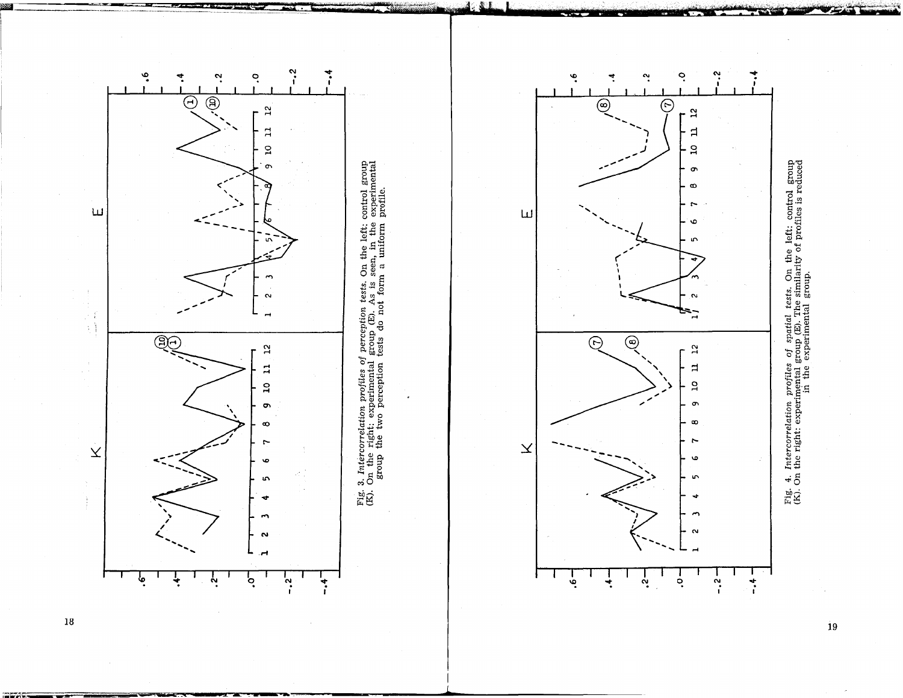



18

.<br>19

Fig. 4. Intercorrelation profiles of spatial tests. On the left: control group (K). On the right: experimental group (E). The similarity of profiles is reduced in the experimental group.

Fig. 4. Intercorrelation profiles of spatial tests. On the left: control group  $(K)$ . On the right: experimental group  $(E)$ . The similarity of profiles is reduced  $(K)$ . On the right: experimental group and group.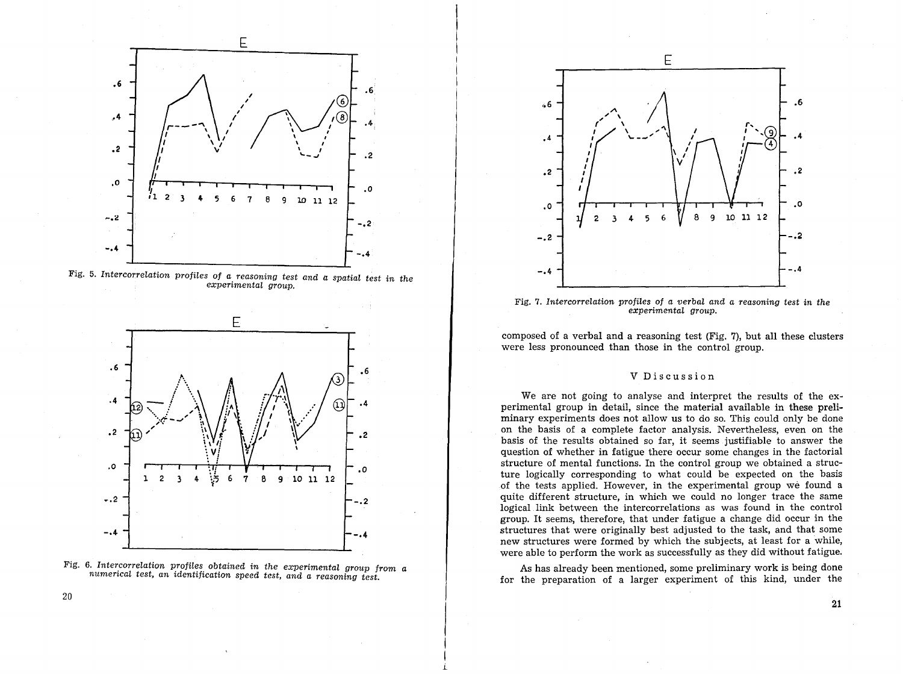

Fig. 5. Intercorrelation profiles of a reasoning test and a spatial test in the experimental group.







Fig. 7. Intercorrelation profiles of a verbal and a reasoning test in the experimental group.

composed of a verbal and a reasoning test (Fig. 7), but all these clusters were less pronounced than those in the control group.

#### V Discussion

We are not going to analyse and interpret the results of the experimental group in detail, since the material available in these preliminary experiments does not allow us to do so. This could only be done on the basis of a complete factor analysis. Nevertheless, even on the basis of the results obtained so far, it seems justifiable to answer the question of whether in fatigue there occur some changes in the factorial structure of mental functions. In the control group we obtained a structure logically corresponding to what could be expected on the basis of the tests applied. However, in the experimental group we found a quite different structure, in which we could no longer trace the same logical link between the intercorrelations as was found in the control group. It seems, therefore, that under fatigue a change did occur in the structures that were originally best adjusted to the task, and that some new structures were formed by which the subjects, at least for a while, were able to perform the work as successfully as they did without fatigue.

As has already been mentioned, some preliminary work is being done for the preparation of a larger experiment of this kind, under the